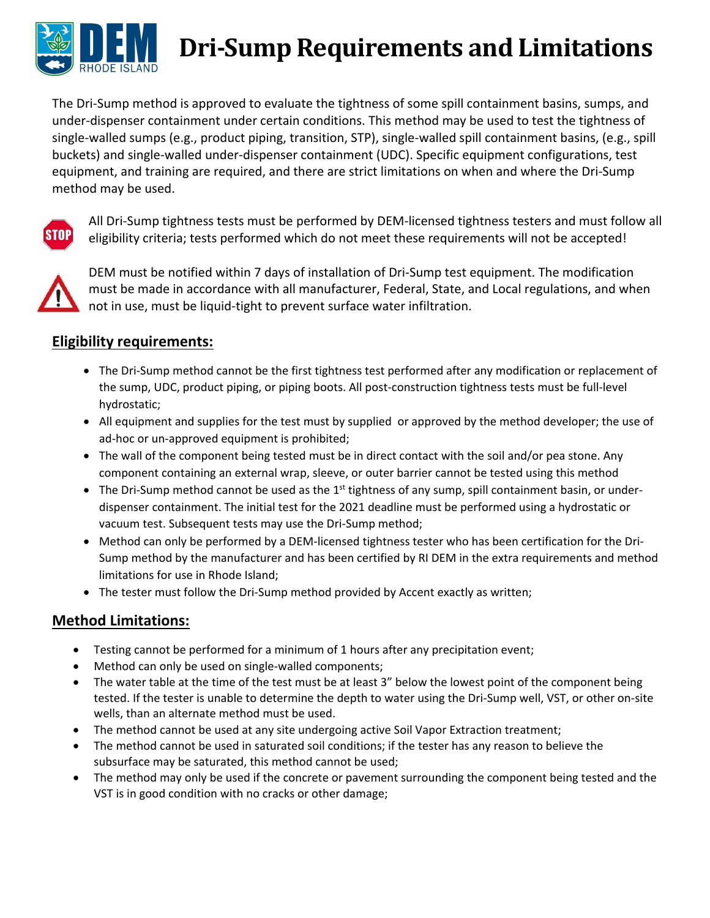

## **Dri‐Sump Requirements and Limitations**

The Dri‐Sump method is approved to evaluate the tightness of some spill containment basins, sumps, and under‐dispenser containment under certain conditions. This method may be used to test the tightness of single‐walled sumps (e.g., product piping, transition, STP), single‐walled spill containment basins, (e.g., spill buckets) and single‐walled under‐dispenser containment (UDC). Specific equipment configurations, test equipment, and training are required, and there are strict limitations on when and where the Dri‐Sump method may be used.



All Dri‐Sump tightness tests must be performed by DEM‐licensed tightness testers and must follow all eligibility criteria; tests performed which do not meet these requirements will not be accepted!



DEM must be notified within 7 days of installation of Dri‐Sump test equipment. The modification must be made in accordance with all manufacturer, Federal, State, and Local regulations, and when not in use, must be liquid‐tight to prevent surface water infiltration.

## **Eligibility requirements:**

- The Dri-Sump method cannot be the first tightness test performed after any modification or replacement of the sump, UDC, product piping, or piping boots. All post-construction tightness tests must be full-level hydrostatic;
- All equipment and supplies for the test must by supplied or approved by the method developer; the use of ad-hoc or un-approved equipment is prohibited;
- The wall of the component being tested must be in direct contact with the soil and/or pea stone. Any component containing an external wrap, sleeve, or outer barrier cannot be tested using this method
- The Dri-Sump method cannot be used as the 1<sup>st</sup> tightness of any sump, spill containment basin, or underdispenser containment. The initial test for the 2021 deadline must be performed using a hydrostatic or vacuum test. Subsequent tests may use the Dri‐Sump method;
- Method can only be performed by a DEM-licensed tightness tester who has been certification for the Dri-Sump method by the manufacturer and has been certified by RI DEM in the extra requirements and method limitations for use in Rhode Island;
- The tester must follow the Dri-Sump method provided by Accent exactly as written;

## **Method Limitations:**

- Testing cannot be performed for a minimum of 1 hours after any precipitation event;
- Method can only be used on single-walled components;
- The water table at the time of the test must be at least 3" below the lowest point of the component being tested. If the tester is unable to determine the depth to water using the Dri‐Sump well, VST, or other on‐site wells, than an alternate method must be used.
- The method cannot be used at any site undergoing active Soil Vapor Extraction treatment;
- The method cannot be used in saturated soil conditions; if the tester has any reason to believe the subsurface may be saturated, this method cannot be used;
- The method may only be used if the concrete or pavement surrounding the component being tested and the VST is in good condition with no cracks or other damage;